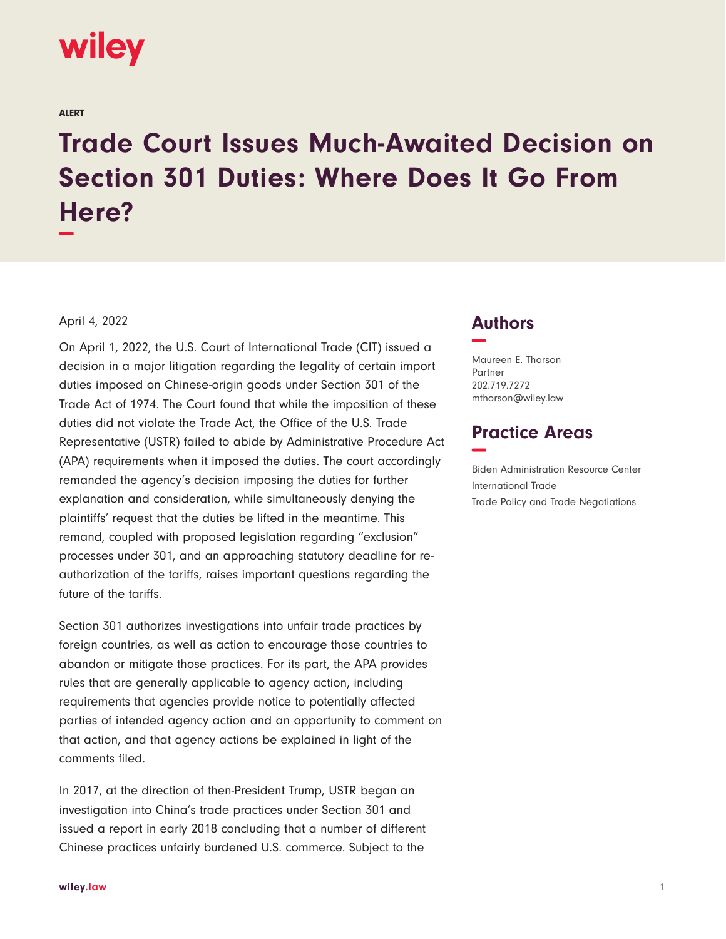

ALERT

## **Trade Court Issues Much-Awaited Decision on Section 301 Duties: Where Does It Go From Here? −**

## April 4, 2022

On April 1, 2022, the U.S. Court of International Trade (CIT) issued a decision in a major litigation regarding the legality of certain import duties imposed on Chinese-origin goods under Section 301 of the Trade Act of 1974. The Court found that while the imposition of these duties did not violate the Trade Act, the Office of the U.S. Trade Representative (USTR) failed to abide by Administrative Procedure Act (APA) requirements when it imposed the duties. The court accordingly remanded the agency's decision imposing the duties for further explanation and consideration, while simultaneously denying the plaintiffs' request that the duties be lifted in the meantime. This remand, coupled with proposed legislation regarding "exclusion" processes under 301, and an approaching statutory deadline for reauthorization of the tariffs, raises important questions regarding the future of the tariffs.

Section 301 authorizes investigations into unfair trade practices by foreign countries, as well as action to encourage those countries to abandon or mitigate those practices. For its part, the APA provides rules that are generally applicable to agency action, including requirements that agencies provide notice to potentially affected parties of intended agency action and an opportunity to comment on that action, and that agency actions be explained in light of the comments filed.

In 2017, at the direction of then-President Trump, USTR began an investigation into China's trade practices under Section 301 and issued a report in early 2018 concluding that a number of different Chinese practices unfairly burdened U.S. commerce. Subject to the

## **Authors −**

Maureen E. Thorson Partner 202.719.7272 mthorson@wiley.law

## **Practice Areas −**

Biden Administration Resource Center International Trade Trade Policy and Trade Negotiations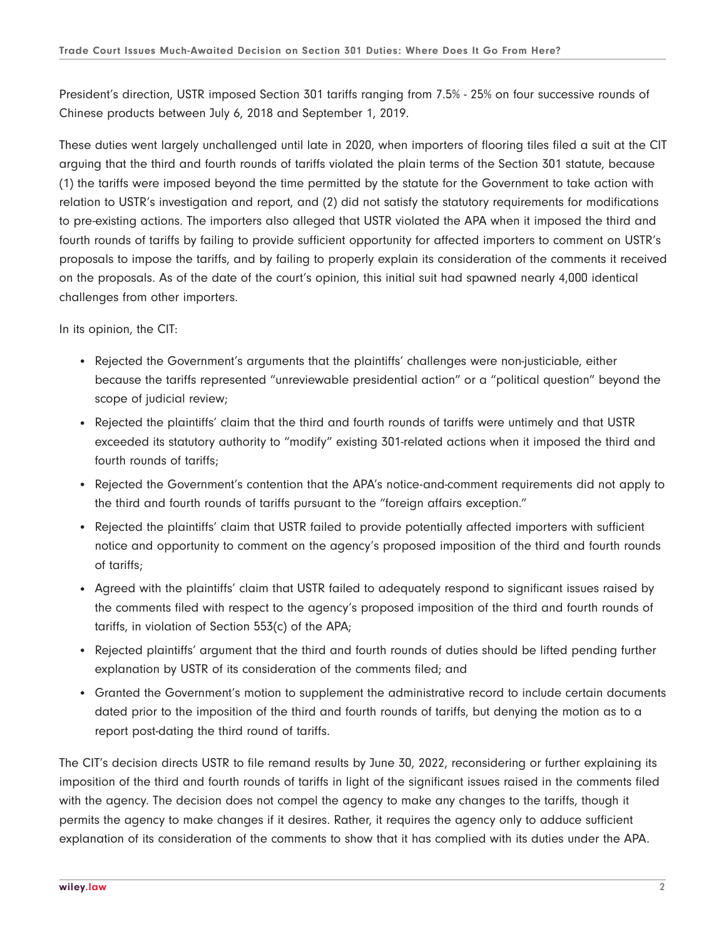President's direction, USTR imposed Section 301 tariffs ranging from 7.5% - 25% on four successive rounds of Chinese products between July 6, 2018 and September 1, 2019.

These duties went largely unchallenged until late in 2020, when importers of flooring tiles filed a suit at the CIT arguing that the third and fourth rounds of tariffs violated the plain terms of the Section 301 statute, because (1) the tariffs were imposed beyond the time permitted by the statute for the Government to take action with relation to USTR's investigation and report, and (2) did not satisfy the statutory requirements for modifications to pre-existing actions. The importers also alleged that USTR violated the APA when it imposed the third and fourth rounds of tariffs by failing to provide sufficient opportunity for affected importers to comment on USTR's proposals to impose the tariffs, and by failing to properly explain its consideration of the comments it received on the proposals. As of the date of the court's opinion, this initial suit had spawned nearly 4,000 identical challenges from other importers.

In its opinion, the CIT:

- Rejected the Government's arguments that the plaintiffs' challenges were non-justiciable, either because the tariffs represented "unreviewable presidential action" or a "political question" beyond the scope of judicial review;
- Rejected the plaintiffs' claim that the third and fourth rounds of tariffs were untimely and that USTR exceeded its statutory authority to "modify" existing 301-related actions when it imposed the third and fourth rounds of tariffs;
- Rejected the Government's contention that the APA's notice-and-comment requirements did not apply to the third and fourth rounds of tariffs pursuant to the "foreign affairs exception."
- Rejected the plaintiffs' claim that USTR failed to provide potentially affected importers with sufficient notice and opportunity to comment on the agency's proposed imposition of the third and fourth rounds of tariffs;
- Agreed with the plaintiffs' claim that USTR failed to adequately respond to significant issues raised by the comments filed with respect to the agency's proposed imposition of the third and fourth rounds of tariffs, in violation of Section 553(c) of the APA;
- Rejected plaintiffs' argument that the third and fourth rounds of duties should be lifted pending further explanation by USTR of its consideration of the comments filed; and
- Granted the Government's motion to supplement the administrative record to include certain documents dated prior to the imposition of the third and fourth rounds of tariffs, but denying the motion as to a report post-dating the third round of tariffs.

The CIT's decision directs USTR to file remand results by June 30, 2022, reconsidering or further explaining its imposition of the third and fourth rounds of tariffs in light of the significant issues raised in the comments filed with the agency. The decision does not compel the agency to make any changes to the tariffs, though it permits the agency to make changes if it desires. Rather, it requires the agency only to adduce sufficient explanation of its consideration of the comments to show that it has complied with its duties under the APA.